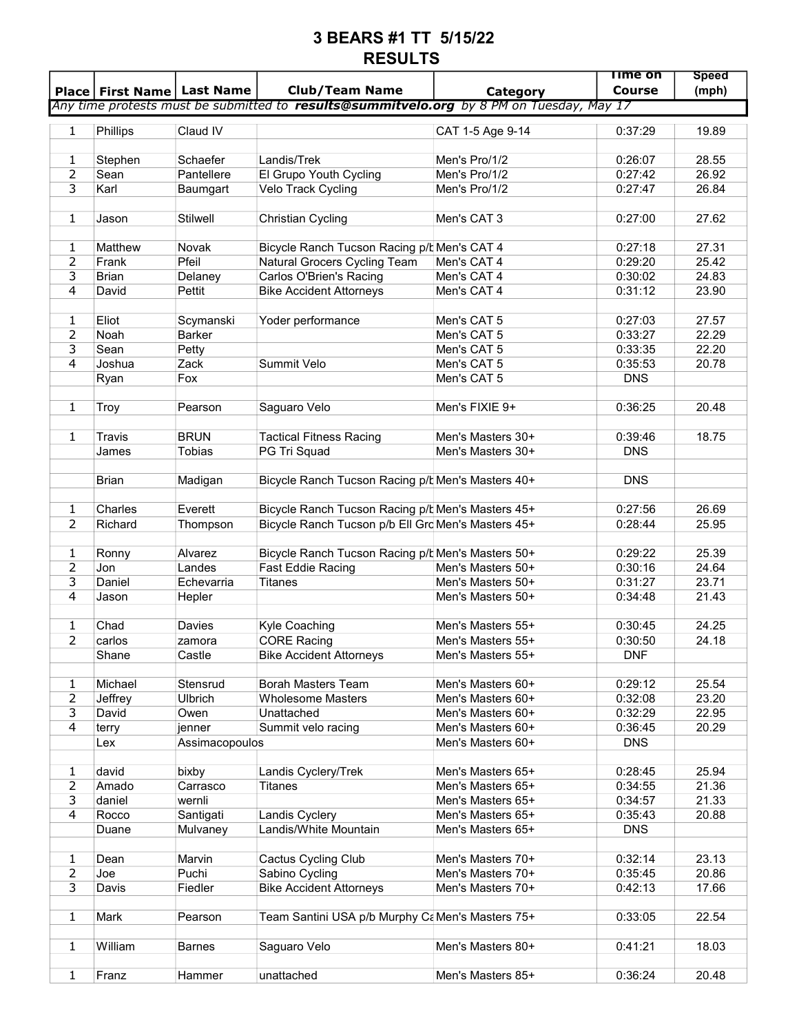## 3 BEARS #1 TT 5/15/22 RESULTS

|                | Place   First Name   Last Name |                 | <b>Club/Team Name</b>                                                                           |                   | Time on<br><b>Course</b> | <b>Speed</b><br>(mph) |
|----------------|--------------------------------|-----------------|-------------------------------------------------------------------------------------------------|-------------------|--------------------------|-----------------------|
|                |                                |                 | Any time protests must be submitted to <b>results@summitvelo.org</b> by 8 PM on Tuesday, May 17 | Category          |                          |                       |
|                |                                |                 |                                                                                                 |                   |                          |                       |
| 1              | Phillips                       | Claud IV        |                                                                                                 | CAT 1-5 Age 9-14  | 0:37:29                  | 19.89                 |
|                |                                |                 |                                                                                                 |                   |                          |                       |
| 1              | Stephen                        | Schaefer        | Landis/Trek                                                                                     | Men's Pro/1/2     | 0:26:07                  | 28.55                 |
| 2              | Sean                           | Pantellere      | El Grupo Youth Cycling                                                                          | Men's Pro/1/2     | 0:27:42                  | 26.92                 |
| 3              | Karl                           | Baumgart        | Velo Track Cycling                                                                              | Men's Pro/1/2     | 0:27:47                  | 26.84                 |
|                |                                |                 |                                                                                                 |                   |                          |                       |
| $\mathbf{1}$   | Jason                          | <b>Stilwell</b> | <b>Christian Cycling</b>                                                                        | Men's CAT 3       | 0:27:00                  | 27.62                 |
|                |                                |                 |                                                                                                 |                   |                          |                       |
| 1              | Matthew                        | Novak           | Bicycle Ranch Tucson Racing p/b Men's CAT 4                                                     |                   | 0:27:18                  | 27.31                 |
| 2              | Frank                          | Pfeil           | Natural Grocers Cycling Team                                                                    | Men's CAT 4       | 0:29:20                  | 25.42                 |
| 3              | <b>Brian</b>                   | Delaney         | Carlos O'Brien's Racing                                                                         | Men's CAT 4       | 0:30:02                  | 24.83                 |
| 4              | David                          | Pettit          | <b>Bike Accident Attorneys</b>                                                                  | Men's CAT 4       | 0:31:12                  | 23.90                 |
|                |                                |                 |                                                                                                 |                   |                          |                       |
| 1              | Eliot                          | Scymanski       | Yoder performance                                                                               | Men's CAT 5       | 0:27:03                  | 27.57                 |
| 2              | <b>Noah</b>                    | Barker          |                                                                                                 | Men's CAT 5       | 0:33:27                  | 22.29                 |
| 3              | Sean                           | Petty           |                                                                                                 | Men's CAT 5       | 0:33:35                  | 22.20                 |
| $\overline{4}$ | Joshua                         | Zack            | Summit Velo                                                                                     | Men's CAT 5       | 0:35:53                  | 20.78                 |
|                | Ryan                           | Fox             |                                                                                                 | Men's CAT 5       | <b>DNS</b>               |                       |
|                |                                |                 |                                                                                                 |                   |                          |                       |
| 1              | Troy                           | Pearson         | Saguaro Velo                                                                                    | Men's FIXIE 9+    | 0:36:25                  | 20.48                 |
| $\mathbf{1}$   | <b>Travis</b>                  | <b>BRUN</b>     | <b>Tactical Fitness Racing</b>                                                                  | Men's Masters 30+ | 0:39:46                  | 18.75                 |
|                | James                          | <b>Tobias</b>   | PG Tri Squad                                                                                    | Men's Masters 30+ | <b>DNS</b>               |                       |
|                |                                |                 |                                                                                                 |                   |                          |                       |
|                | <b>Brian</b>                   | Madigan         | Bicycle Ranch Tucson Racing p/t Men's Masters 40+                                               |                   | <b>DNS</b>               |                       |
|                |                                |                 |                                                                                                 |                   |                          |                       |
| 1              | Charles                        | Everett         | Bicycle Ranch Tucson Racing p/h Men's Masters 45+                                               |                   | 0:27:56                  | 26.69                 |
| $\overline{2}$ | Richard                        | Thompson        | Bicycle Ranch Tucson p/b Ell Gro Men's Masters 45+                                              |                   | 0:28:44                  | 25.95                 |
|                |                                |                 |                                                                                                 |                   |                          |                       |
| 1              | Ronny                          | Alvarez         | Bicycle Ranch Tucson Racing p/b Men's Masters 50+                                               |                   | 0:29:22                  | 25.39                 |
| 2              | Jon                            | Landes          | Fast Eddie Racing                                                                               | Men's Masters 50+ | 0:30:16                  | 24.64                 |
| 3              | Daniel                         | Echevarria      | <b>Titanes</b>                                                                                  | Men's Masters 50+ | 0:31:27                  | 23.71                 |
| 4              | Jason                          | Hepler          |                                                                                                 | Men's Masters 50+ | 0:34:48                  | 21.43                 |
|                |                                |                 |                                                                                                 |                   |                          |                       |
| 1              | Chad                           | Davies          | Kyle Coaching                                                                                   | Men's Masters 55+ | 0:30:45                  | 24.25                 |
| $\overline{2}$ | carlos                         | zamora          | <b>CORE Racing</b>                                                                              | Men's Masters 55+ | 0:30:50                  | 24.18                 |
|                | Shane                          | Castle          | <b>Bike Accident Attorneys</b>                                                                  | Men's Masters 55+ | <b>DNF</b>               |                       |
|                |                                |                 |                                                                                                 |                   |                          |                       |
| $\mathbf{1}$   | Michael                        | Stensrud        | <b>Borah Masters Team</b>                                                                       | Men's Masters 60+ | 0:29:12                  | 25.54                 |
| $\overline{2}$ | Jeffrey                        | Ulbrich         | <b>Wholesome Masters</b>                                                                        | Men's Masters 60+ | 0:32:08                  | 23.20                 |
| $\overline{3}$ | David                          | Owen            | Unattached                                                                                      | Men's Masters 60+ | 0:32:29                  | 22.95                 |
| $\overline{4}$ | terry                          | jenner          | Summit velo racing                                                                              | Men's Masters 60+ | 0:36:45                  | 20.29                 |
|                | Lex                            | Assimacopoulos  |                                                                                                 | Men's Masters 60+ | <b>DNS</b>               |                       |
|                |                                |                 |                                                                                                 |                   |                          |                       |
| $\mathbf{1}$   | david                          | bixby           | Landis Cyclery/Trek                                                                             | Men's Masters 65+ | 0:28:45                  | 25.94                 |
| $\overline{2}$ | Amado                          | Carrasco        | <b>Titanes</b>                                                                                  | Men's Masters 65+ | 0:34:55                  | 21.36                 |
| 3              | daniel                         | wernli          |                                                                                                 | Men's Masters 65+ | 0:34:57                  | 21.33                 |
| $\overline{4}$ | Rocco                          | Santigati       | Landis Cyclery                                                                                  | Men's Masters 65+ | 0:35:43                  | 20.88                 |
|                | Duane                          | Mulvaney        | Landis/White Mountain                                                                           | Men's Masters 65+ | <b>DNS</b>               |                       |
|                |                                |                 |                                                                                                 |                   |                          |                       |
| $\mathbf{1}$   | Dean                           | Marvin          | Cactus Cycling Club                                                                             | Men's Masters 70+ | 0:32:14                  | 23.13                 |
| $\overline{2}$ | Joe                            | Puchi           | Sabino Cycling                                                                                  | Men's Masters 70+ | 0:35:45                  | 20.86                 |
| 3              | Davis                          | Fiedler         | <b>Bike Accident Attorneys</b>                                                                  | Men's Masters 70+ | 0:42:13                  | 17.66                 |
|                |                                |                 |                                                                                                 |                   |                          |                       |
| $\mathbf{1}$   | Mark                           | Pearson         | Team Santini USA p/b Murphy Ca Men's Masters 75+                                                |                   | 0:33:05                  | 22.54                 |
|                |                                |                 |                                                                                                 |                   |                          |                       |
| $\mathbf{1}$   | William                        | <b>Barnes</b>   | Saguaro Velo                                                                                    | Men's Masters 80+ | 0:41:21                  | 18.03                 |
| $\mathbf{1}$   | Franz                          | Hammer          | unattached                                                                                      | Men's Masters 85+ | 0:36:24                  | 20.48                 |
|                |                                |                 |                                                                                                 |                   |                          |                       |